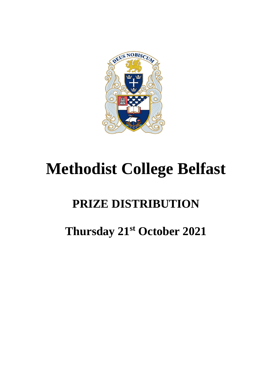

# **Methodist College Belfast**

# **PRIZE DISTRIBUTION**

# **Thursday 21st October 2021**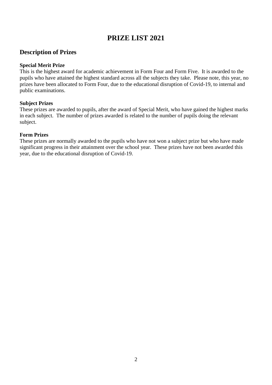# **PRIZE LIST 2021**

# **Description of Prizes**

#### **Special Merit Prize**

This is the highest award for academic achievement in Form Four and Form Five. It is awarded to the pupils who have attained the highest standard across all the subjects they take. Please note, this year, no prizes have been allocated to Form Four, due to the educational disruption of Covid-19, to internal and public examinations.

#### **Subject Prizes**

These prizes are awarded to pupils, after the award of Special Merit, who have gained the highest marks in each subject. The number of prizes awarded is related to the number of pupils doing the relevant subject.

#### **Form Prizes**

These prizes are normally awarded to the pupils who have not won a subject prize but who have made significant progress in their attainment over the school year. These prizes have not been awarded this year, due to the educational disruption of Covid-19.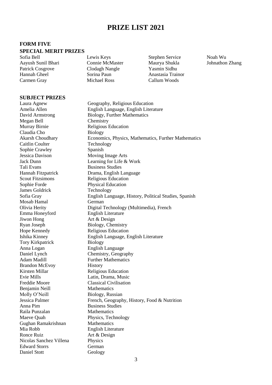# **PRIZE LIST 2021**

# **FORM FIVE**

#### **SPECIAL MERIT PRIZES**

Sofia Bell Lewis Keys Stephen Service Noah Wu Aayush Sunil Bhari Connie McMaster Maurya Shukla Johnathon Zhang<br>Patrick Coserove Clodaeh Nanele Yasmin Sidhu Patrick Cosgrove Clodagh Nangle Hannah Gheel Sorina Paun Anastasia Trainor Carmen Gray Michael Ross Callum Woods

#### **SUBJECT PRIZES**

Megan Bell<br>
Murray Birnie<br>
Religious Claudia Cho<br>Akarsh Choudhary Biology<br>Econom Caitlin Coulter Technology Sophie Crawley Spanish Jessica Davison Moving Image Arts Tali Evans **Business** Studies Scout Fitzsimons Religious Education Sophie Forde Physical Education James Goldrick Technology Mosab Hamal German Emma Honeyford English Literature Jiwon Hong Art & Design Ryan Joseph Biology, Chemistry Hope Kennedy Religious Education Tory Kirkpatrick Biology Anna Logan English Language Adam Madill Further Mathematics Brandon McEvoy History Kirsten Millar Religious Education Evie Mills Latin, Drama, Music Freddie Moore Classical Civilisation Benjamin Neill Mathematics Molly O'Neill Biology, Russian Anna Pim Business Studies Raila Punzalan Mathematics Maeve Quah Physics, Technology Gughan Ramakrishnan Mathematics Mia Robb English Literature Ronce Ruiz Art & Design Nicolas Sanchez Villena Physics Edward Storrs German Daniel Stott Geology

Laura Agnew Geography, Religious Education Amelia Allen English Language, English Literature David Armstrong Biology, Further Mathematics Religious Education Economics, Physics, Mathematics, Further Mathematics Jack Dunn Learning for Life & Work Hannah Fitzpatrick Drama, English Language Sofia Gray English Language, History, Political Studies, Spanish Olivia Herity Digital Technology (Multimedia), French Ishika Kinney English Language, English Literature Daniel Lynch Chemistry, Geography Jessica Palmer French, Geography, History, Food & Nutrition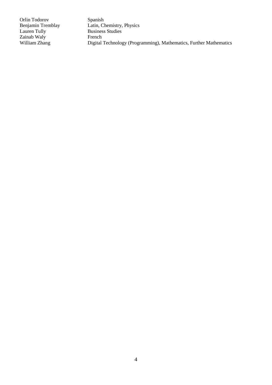Orlin Todorov Spanish<br>Benjamin Tremblay Latin, Ch Zainab Waly<br>William Zhang

Benjamin Tremblay<br>
Latin, Chemistry, Physics<br>
Lauren Tully<br>
Business Studies Business Studies<br>French Digital Technology (Programming), Mathematics, Further Mathematics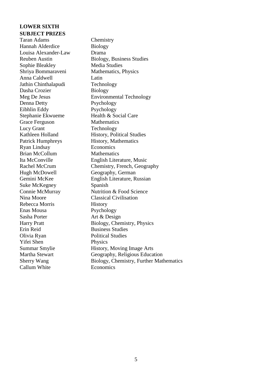# **LOWER SIXTH SUBJECT PRIZES**

Taran Adams<br>
Hannah Alderdice<br>
Biology<br>
Biology Hannah Alderdice Louisa Alexander-Law Drama Sophie Bleakley Media Studies Anna Caldwell Latin Jathin Chinthalapudi Technology Dasha Crozier Biology Denna Detty Psychology Eibhlin Eddy Psychology Stephanie Ekwueme Health & Social Care Grace Ferguson Mathematics Lucy Grant Technology Patrick Humphreys History, Mathematics Ryan Lindsay Economics Brian McCollum Mathematics Hugh McDowell Geography, German Suke McKegney Spanish Nina Moore Classical Civilisation Rebecca Morris History Enas Mousa Psychology Sasha Porter Art & Design Erin Reid Business Studies Olivia Ryan Political Studies Yifei Shen Physics Callum White Economics

Reuben Austin Biology, Business Studies Shriya Bommaraveni Mathematics, Physics Meg De Jesus Environmental Technology Kathleen Holland History, Political Studies Ita McConville English Literature, Music Rachel McCrum Chemistry, French, Geography Gemini McKee English Literature, Russian Connie McMurray Nutrition & Food Science Harry Pratt Biology, Chemistry, Physics Summar Smylie History, Moving Image Arts Martha Stewart Geography, Religious Education Sherry Wang Biology, Chemistry, Further Mathematics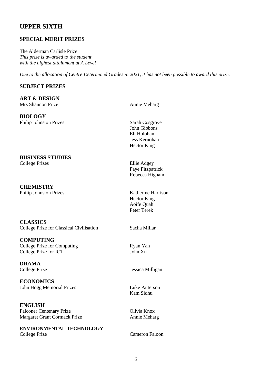# **UPPER SIXTH**

#### **SPECIAL MERIT PRIZES**

The Alderman Carlisle Prize *This prize is awarded to the student with the highest attainment at A Level*

*Due to the allocation of Centre Determined Grades in 2021, it has not been possible to award this prize.*

#### **SUBJECT PRIZES**

#### **ART & DESIGN** Mrs Shannon Prize Annie Meharg

**BIOLOGY** Philip Johnston Prizes Sarah Cosgrove

**BUSINESS STUDIES** College Prizes Ellie Adgey

**CHEMISTRY** Philip Johnston Prizes Katherine Harrison

**CLASSICS** College Prize for Classical Civilisation Sacha Millar

**COMPUTING** College Prize for Computing Ryan Yan<br>
College Prize for ICT John Xu College Prize for ICT

**DRAMA**

**ECONOMICS** John Hogg Memorial Prizes Luke Patterson

**ENGLISH** Falconer Centenary Prize **Olivia Knox** Margaret Grant Cormack Prize Annie Meharg

**ENVIRONMENTAL TECHNOLOGY** College Prize Cameron Faloon

John Gibbons Eli Holohan Jess Kernohan Hector King

Faye Fitzpatrick Rebecca Higham

Hector King Aoife Quah Peter Terek

College Prize Jessica Milligan

Kam Sidhu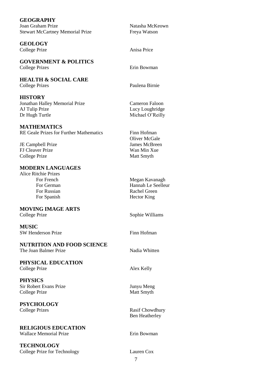| <b>GEOGRAPHY</b>                               |                       |
|------------------------------------------------|-----------------------|
| Joan Graham Prize                              | Natasha McKeown       |
| <b>Stewart McCartney Memorial Prize</b>        | Freya Watson          |
| <b>GEOLOGY</b>                                 |                       |
| College Prize                                  | Anisa Price           |
| <b>GOVERNMENT &amp; POLITICS</b>               |                       |
| <b>College Prizes</b>                          | Erin Bowman           |
| <b>HEALTH &amp; SOCIAL CARE</b>                |                       |
| <b>College Prizes</b>                          | Paulena Birnie        |
| <b>HISTORY</b>                                 |                       |
| Jonathan Halley Memorial Prize                 | <b>Cameron Faloon</b> |
| AJ Tulip Prize                                 | Lucy Loughridge       |
| Dr Hugh Turtle                                 | Michael O'Reilly      |
| <b>MATHEMATICS</b>                             |                       |
| <b>RE Geale Prizes for Further Mathematics</b> | Finn Hofman           |
|                                                | Oliver McGale         |
| JE Campbell Prize                              | James McBreen         |
| <b>FJ Cleaver Prize</b>                        | Wan Min Xue           |
| College Prize                                  | Matt Smyth            |
| <b>MODERN LANGUAGES</b>                        |                       |
| <b>Alice Ritchie Prizes</b>                    |                       |
| For French                                     | Megan Kavanagh        |
| For German                                     | Hannah Le Seelleur    |
| For Russian                                    | <b>Rachel Green</b>   |
| For Spanish                                    | <b>Hector King</b>    |
| <b>MOVING IMAGE ARTS</b>                       |                       |
| College Prize                                  | Sophie Williams       |
| <b>MUSIC</b>                                   |                       |
| SW Henderson Prize                             | Finn Hofman           |
| <b>NUTRITION AND FOOD SCIENCE</b>              |                       |
| The Joan Balmer Prize                          | Nadia Whitten         |
| PHYSICAL EDUCATION                             |                       |
| College Prize                                  | Alex Kelly            |
|                                                |                       |
| <b>PHYSICS</b>                                 |                       |
| <b>Sir Robert Evans Prize</b>                  | Junyu Meng            |
| College Prize                                  | Matt Smyth            |
| <b>PSYCHOLOGY</b>                              |                       |
| <b>College Prizes</b>                          | Rasif Chowdhury       |
|                                                | <b>Ben Heatherley</b> |
| <b>RELIGIOUS EDUCATION</b>                     |                       |
| <b>Wallace Memorial Prize</b>                  | Erin Bowman           |
|                                                |                       |
| <b>TECHNOLOGY</b>                              |                       |
| College Prize for Technology                   | Lauren Cox            |
|                                                | 7                     |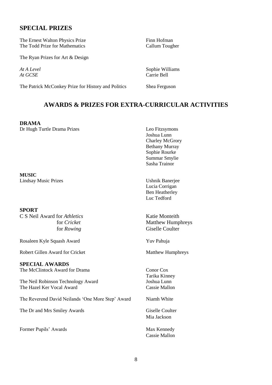### **SPECIAL PRIZES**

The Ernest Walton Physics Prize Finn Hofman The Todd Prize for Mathematics Callum Tougher

The Ryan Prizes for Art & Design

*At GCSE* Carrie Bell

The Patrick McConkey Prize for History and Politics Shea Ferguson

*At A Level* Sophie Williams

### **AWARDS & PRIZES FOR EXTRA-CURRICULAR ACTIVITIES**

**DRAMA** Dr Hugh Turtle Drama Prizes Leo Fitzsymons

**MUSIC** Lindsay Music Prizes Ushnik Banerjee

#### **SPORT**

C S Neil Award for *Athletics* Katie Monteith

Rosaleen Kyle Squash Award Yuv Pahuja

Robert Gillen Award for Cricket Matthew Humphreys

**SPECIAL AWARDS** The McClintock Award for Drama Conor Cox

The Neil Robinson Technology Award Joshua Lunn The Hazel Ker Vocal Award Cassie Mallon

The Reverend David Neilands 'One More Step' Award Niamh White

The Dr and Mrs Smiley Awards Giselle Coulter

Former Pupils' Awards Max Kennedy

Joshua Lunn Charley McGrory Bethany Murray Sophie Rourke Summar Smylie Sasha Trainor

Lucia Corrigan Ben Heatherley Luc Tedford

for *Cricket* Matthew Humphreys for *Rowing* Giselle Coulter

Tarika Kinney

Mia Jackson

Cassie Mallon